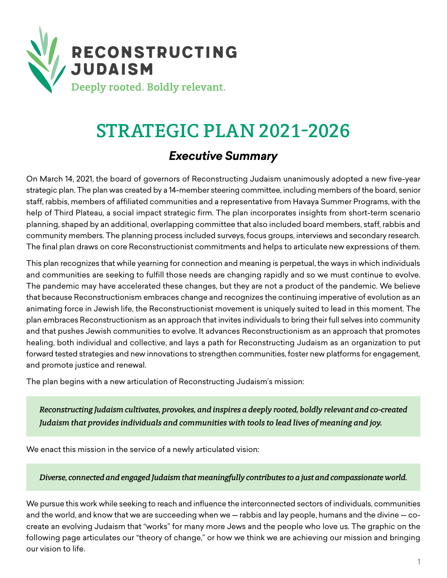

# STRATEGIC PLAN 2021-2026

## *Executive Summary*

On March 14, 2021, the board of governors of Reconstructing Judaism unanimously adopted a new five-year strategic plan. The plan was created by a 14-member steering committee, including members of the board, senior staff, rabbis, members of affiliated communities and a representative from Havaya Summer Programs, with the help of Third Plateau, a social impact strategic firm. The plan incorporates insights from short-term scenario planning, shaped by an additional, overlapping committee that also included board members, staff, rabbis and community members. The planning process included surveys, focus groups, interviews and secondary research. The final plan draws on core Reconstructionist commitments and helps to articulate new expressions of them.

This plan recognizes that while yearning for connection and meaning is perpetual, the ways in which individuals and communities are seeking to fulfill those needs are changing rapidly and so we must continue to evolve. The pandemic may have accelerated these changes, but they are not a product of the pandemic. We believe that because Reconstructionism embraces change and recognizes the continuing imperative of evolution as an animating force in Jewish life, the Reconstructionist movement is uniquely suited to lead in this moment. The plan embraces Reconstructionism as an approach that invites individuals to bring their full selves into community and that pushes Jewish communities to evolve. It advances Reconstructionism as an approach that promotes healing, both individual and collective, and lays a path for Reconstructing Judaism as an organization to put forward tested strategies and new innovations to strengthen communities, foster new platforms for engagement, and promote justice and renewal.

The plan begins with a new articulation of Reconstructing Judaism's mission:

*Reconstructing Judaism cultivates, provokes, and inspires a deeply rooted, boldly relevant and co-created Judaism that provides individuals and communities with tools to lead lives of meaning and joy.* 

We enact this mission in the service of a newly articulated vision:

*Diverse, connected and engaged Judaism that meaningfully contributes to a just and compassionate world.*

We pursue this work while seeking to reach and influence the interconnected sectors of individuals, communities and the world, and know that we are succeeding when we — rabbis and lay people, humans and the divine — cocreate an evolving Judaism that "works" for many more Jews and the people who love us. The graphic on the following page articulates our "theory of change," or how we think we are achieving our mission and bringing our vision to life.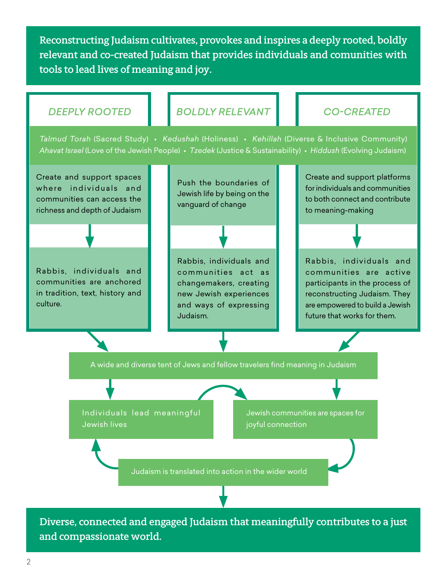Reconstructing Judaism cultivates, provokes and inspires a deeply rooted, boldly relevant and co-created Judaism that provides individuals and comunities with tools to lead lives of meaning and joy.



and compassionate world.